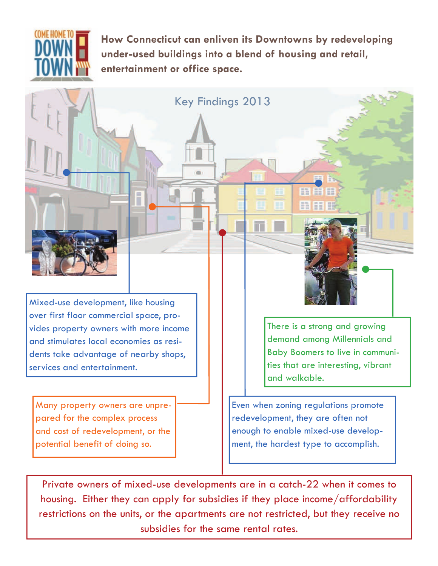

**How Connecticut can enliven its Downtowns by redeveloping under-used buildings into a blend of housing and retail, entertainment or office space.**

Key Findings 2013

Mixed-use development, like housing over first floor commercial space, provides property owners with more income and stimulates local economies as residents take advantage of nearby shops, services and entertainment.

Many property owners are unprepared for the complex process and cost of redevelopment, or the potential benefit of doing so.

There is a strong and growing demand among Millennials and Baby Boomers to live in communities that are interesting, vibrant and walkable.

Even when zoning regulations promote redevelopment, they are often not enough to enable mixed-use development, the hardest type to accomplish.

m

HI H

Private owners of mixed-use developments are in a catch-22 when it comes to housing. Either they can apply for subsidies if they place income/affordability restrictions on the units, or the apartments are not restricted, but they receive no subsidies for the same rental rates.